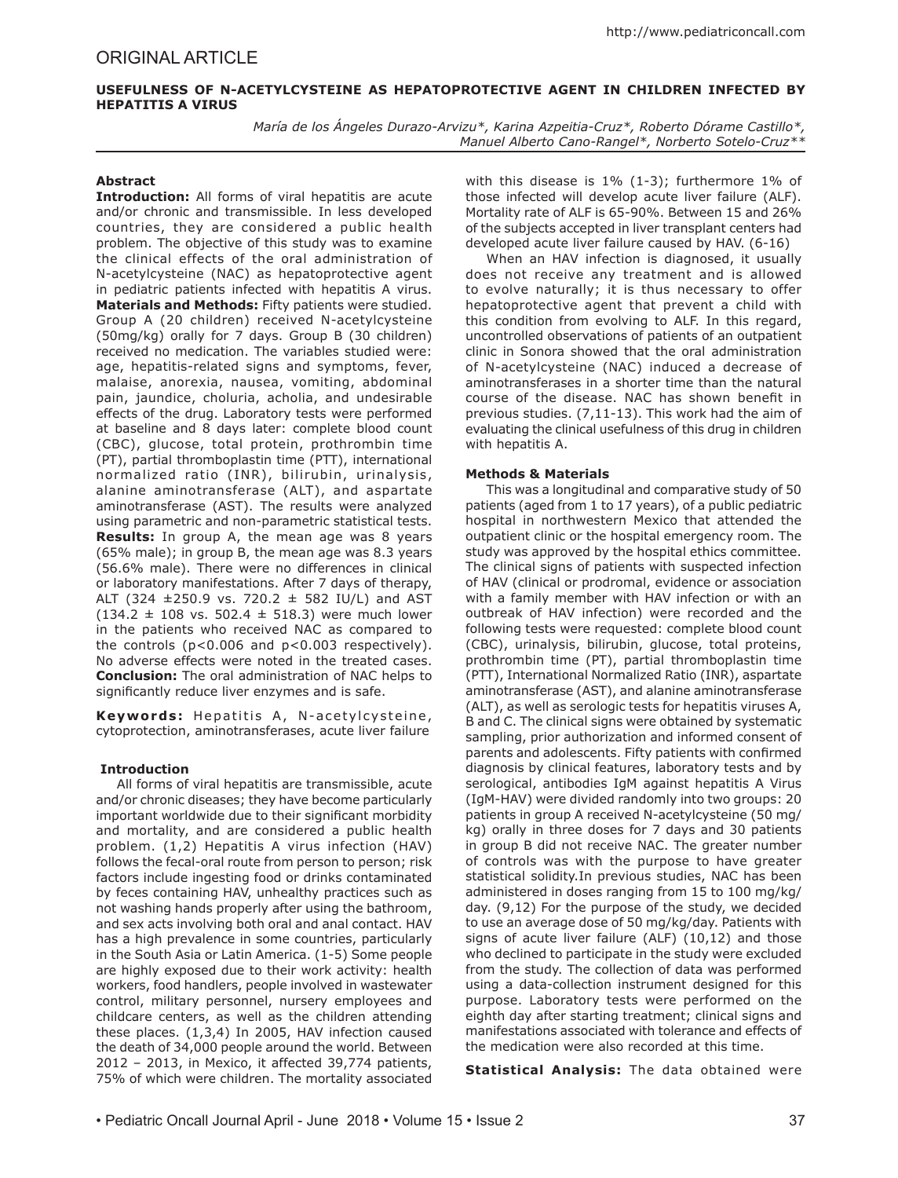# **USEFULNESS OF N-ACETYLCYSTEINE AS HEPATOPROTECTIVE AGENT IN CHILDREN INFECTED BY HEPATITIS A VIRUS**

*María de los Ángeles Durazo-Arvizu\*, Karina Azpeitia-Cruz\*, Roberto Dórame Castillo\*, Manuel Alberto Cano-Rangel\*, Norberto Sotelo-Cruz\*\**

## **Abstract**

**Introduction:** All forms of viral hepatitis are acute and/or chronic and transmissible. In less developed countries, they are considered a public health problem. The objective of this study was to examine the clinical effects of the oral administration of N-acetylcysteine (NAC) as hepatoprotective agent in pediatric patients infected with hepatitis A virus. **Materials and Methods:** Fifty patients were studied. Group A (20 children) received N-acetylcysteine (50mg/kg) orally for 7 days. Group B (30 children) received no medication. The variables studied were: age, hepatitis-related signs and symptoms, fever, malaise, anorexia, nausea, vomiting, abdominal pain, jaundice, choluria, acholia, and undesirable effects of the drug. Laboratory tests were performed at baseline and 8 days later: complete blood count (CBC), glucose, total protein, prothrombin time (PT), partial thromboplastin time (PTT), international normalized ratio (INR), bilirubin, urinalysis, alanine aminotransferase (ALT), and aspartate aminotransferase (AST). The results were analyzed using parametric and non-parametric statistical tests. **Results:** In group A, the mean age was 8 years (65% male); in group B, the mean age was 8.3 years (56.6% male). There were no differences in clinical or laboratory manifestations. After 7 days of therapy, ALT (324  $\pm$ 250.9 vs. 720.2  $\pm$  582 IU/L) and AST  $(134.2 \pm 108 \text{ vs. } 502.4 \pm 518.3)$  were much lower in the patients who received NAC as compared to the controls (p<0.006 and p<0.003 respectively). No adverse effects were noted in the treated cases. **Conclusion:** The oral administration of NAC helps to significantly reduce liver enzymes and is safe.

Keywords: Hepatitis A, N-acetylcysteine, cytoprotection, aminotransferases, acute liver failure

#### **Introduction**

All forms of viral hepatitis are transmissible, acute and/or chronic diseases; they have become particularly important worldwide due to their significant morbidity and mortality, and are considered a public health problem. (1,2) Hepatitis A virus infection (HAV) follows the fecal-oral route from person to person; risk factors include ingesting food or drinks contaminated by feces containing HAV, unhealthy practices such as not washing hands properly after using the bathroom, and sex acts involving both oral and anal contact. HAV has a high prevalence in some countries, particularly in the South Asia or Latin America. (1-5) Some people are highly exposed due to their work activity: health workers, food handlers, people involved in wastewater control, military personnel, nursery employees and childcare centers, as well as the children attending these places. (1,3,4) In 2005, HAV infection caused the death of 34,000 people around the world. Between 2012 – 2013, in Mexico, it affected 39,774 patients, 75% of which were children. The mortality associated

with this disease is 1% (1-3); furthermore 1% of those infected will develop acute liver failure (ALF). Mortality rate of ALF is 65-90%. Between 15 and 26% of the subjects accepted in liver transplant centers had developed acute liver failure caused by HAV. (6-16)

When an HAV infection is diagnosed, it usually does not receive any treatment and is allowed to evolve naturally; it is thus necessary to offer hepatoprotective agent that prevent a child with this condition from evolving to ALF. In this regard, uncontrolled observations of patients of an outpatient clinic in Sonora showed that the oral administration of N-acetylcysteine (NAC) induced a decrease of aminotransferases in a shorter time than the natural course of the disease. NAC has shown benefit in previous studies. (7,11-13). This work had the aim of evaluating the clinical usefulness of this drug in children with hepatitis A.

## **Methods & Materials**

This was a longitudinal and comparative study of 50 patients (aged from 1 to 17 years), of a public pediatric hospital in northwestern Mexico that attended the outpatient clinic or the hospital emergency room. The study was approved by the hospital ethics committee. The clinical signs of patients with suspected infection of HAV (clinical or prodromal, evidence or association with a family member with HAV infection or with an outbreak of HAV infection) were recorded and the following tests were requested: complete blood count (CBC), urinalysis, bilirubin, glucose, total proteins, prothrombin time (PT), partial thromboplastin time (PTT), International Normalized Ratio (INR), aspartate aminotransferase (AST), and alanine aminotransferase (ALT), as well as serologic tests for hepatitis viruses A, B and C. The clinical signs were obtained by systematic sampling, prior authorization and informed consent of parents and adolescents. Fifty patients with confirmed diagnosis by clinical features, laboratory tests and by serological, antibodies IgM against hepatitis A Virus (IgM-HAV) were divided randomly into two groups: 20 patients in group A received N-acetylcysteine (50 mg/ kg) orally in three doses for 7 days and 30 patients in group B did not receive NAC. The greater number of controls was with the purpose to have greater statistical solidity.In previous studies, NAC has been administered in doses ranging from 15 to 100 mg/kg/ day. (9,12) For the purpose of the study, we decided to use an average dose of 50 mg/kg/day. Patients with signs of acute liver failure (ALF) (10,12) and those who declined to participate in the study were excluded from the study. The collection of data was performed using a data-collection instrument designed for this purpose. Laboratory tests were performed on the eighth day after starting treatment; clinical signs and manifestations associated with tolerance and effects of the medication were also recorded at this time.

**Statistical Analysis:** The data obtained were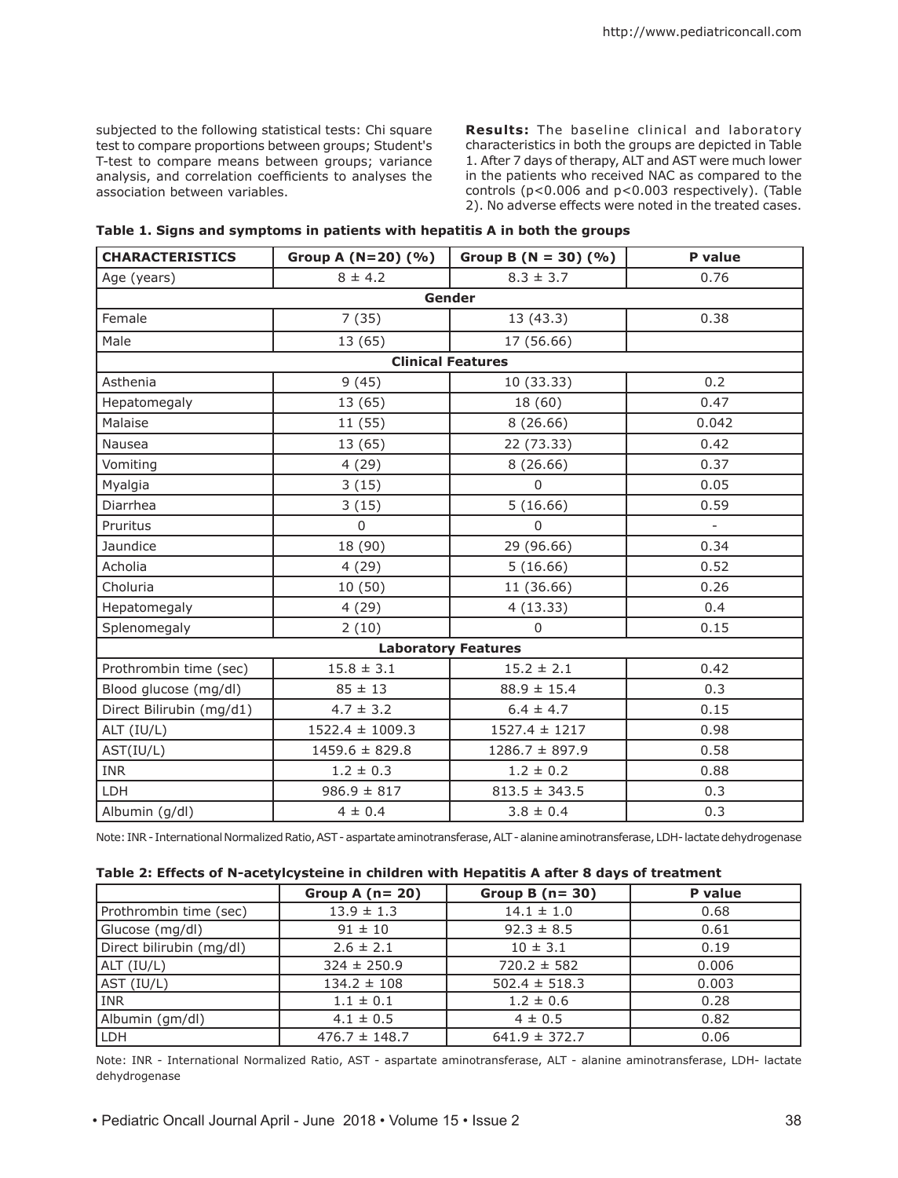subjected to the following statistical tests: Chi square test to compare proportions between groups; Student's T-test to compare means between groups; variance analysis, and correlation coefficients to analyses the association between variables.

**Results:** The baseline clinical and laboratory characteristics in both the groups are depicted in Table 1. After 7 days of therapy, ALT and AST were much lower in the patients who received NAC as compared to the controls (p<0.006 and p<0.003 respectively). (Table 2). No adverse effects were noted in the treated cases.

| <b>CHARACTERISTICS</b>     | Group A $(N=20)$ $(\% )$ | Group B ( $N = 30$ ) (%) | P value  |  |  |
|----------------------------|--------------------------|--------------------------|----------|--|--|
| Age (years)                | $8 \pm 4.2$              | $8.3 \pm 3.7$            | 0.76     |  |  |
| Gender                     |                          |                          |          |  |  |
| Female                     | 7(35)                    | 13(43.3)                 | 0.38     |  |  |
| Male                       | 13 (65)                  | 17 (56.66)               |          |  |  |
| <b>Clinical Features</b>   |                          |                          |          |  |  |
| Asthenia                   | 9(45)                    | 10 (33.33)               | 0.2      |  |  |
| Hepatomegaly               | 13 (65)                  | 18 (60)                  | 0.47     |  |  |
| Malaise                    | 11 (55)                  | 8(26.66)                 | 0.042    |  |  |
| Nausea                     | 13 (65)                  | 22 (73.33)               | 0.42     |  |  |
| Vomiting                   | 4(29)                    | 8(26.66)                 | 0.37     |  |  |
| Myalgia                    | 3(15)                    | $\Omega$                 | 0.05     |  |  |
| Diarrhea                   | 3(15)                    | 5(16.66)                 | 0.59     |  |  |
| Pruritus                   | $\Omega$                 | $\Omega$                 | $\equiv$ |  |  |
| Jaundice                   | 18 (90)                  | 29 (96.66)               | 0.34     |  |  |
| Acholia                    | 4(29)                    | 5(16.66)                 | 0.52     |  |  |
| Choluria                   | 10(50)                   | 11 (36.66)               | 0.26     |  |  |
| Hepatomegaly               | 4(29)                    | 4(13.33)                 | 0.4      |  |  |
| Splenomegaly               | 2(10)                    | $\Omega$                 | 0.15     |  |  |
| <b>Laboratory Features</b> |                          |                          |          |  |  |
| Prothrombin time (sec)     | $15.8 \pm 3.1$           | $15.2 \pm 2.1$           | 0.42     |  |  |
| Blood glucose (mg/dl)      | $85 \pm 13$              | $88.9 \pm 15.4$          | 0.3      |  |  |
| Direct Bilirubin (mg/d1)   | $4.7 \pm 3.2$            | $6.4 \pm 4.7$            | 0.15     |  |  |
| ALT (IU/L)                 | $1522.4 \pm 1009.3$      | $1527.4 \pm 1217$        | 0.98     |  |  |
| AST(IU/L)                  | $1459.6 \pm 829.8$       | $1286.7 \pm 897.9$       | 0.58     |  |  |
| INR                        | $1.2 \pm 0.3$            | $1.2 \pm 0.2$            | 0.88     |  |  |
| <b>LDH</b>                 | $986.9 \pm 817$          | $813.5 \pm 343.5$        | 0.3      |  |  |
| Albumin (g/dl)             | $4 \pm 0.4$              | $3.8 \pm 0.4$            | 0.3      |  |  |

**Table 1. Signs and symptoms in patients with hepatitis A in both the groups**

Note: INR - International Normalized Ratio, AST - aspartate aminotransferase, ALT - alanine aminotransferase, LDH- lactate dehydrogenase

#### **Table 2: Effects of N-acetylcysteine in children with Hepatitis A after 8 days of treatment**

|                          | Group A $(n=20)$  | Group B $(n=30)$  | P value |
|--------------------------|-------------------|-------------------|---------|
| Prothrombin time (sec)   | $13.9 \pm 1.3$    | $14.1 \pm 1.0$    | 0.68    |
| Glucose (mg/dl)          | $91 \pm 10$       | $92.3 \pm 8.5$    | 0.61    |
| Direct bilirubin (mg/dl) | $2.6 \pm 2.1$     | $10 \pm 3.1$      | 0.19    |
| ALT (IU/L)               | $324 \pm 250.9$   | $720.2 \pm 582$   | 0.006   |
| AST (IU/L)               | $134.2 \pm 108$   | $502.4 \pm 518.3$ | 0.003   |
| <b>INR</b>               | $1.1 \pm 0.1$     | $1.2 \pm 0.6$     | 0.28    |
| Albumin (gm/dl)          | $4.1 \pm 0.5$     | $4 \pm 0.5$       | 0.82    |
| LDH                      | $476.7 \pm 148.7$ | $641.9 \pm 372.7$ | 0.06    |

Note: INR - International Normalized Ratio, AST - aspartate aminotransferase, ALT - alanine aminotransferase, LDH- lactate dehydrogenase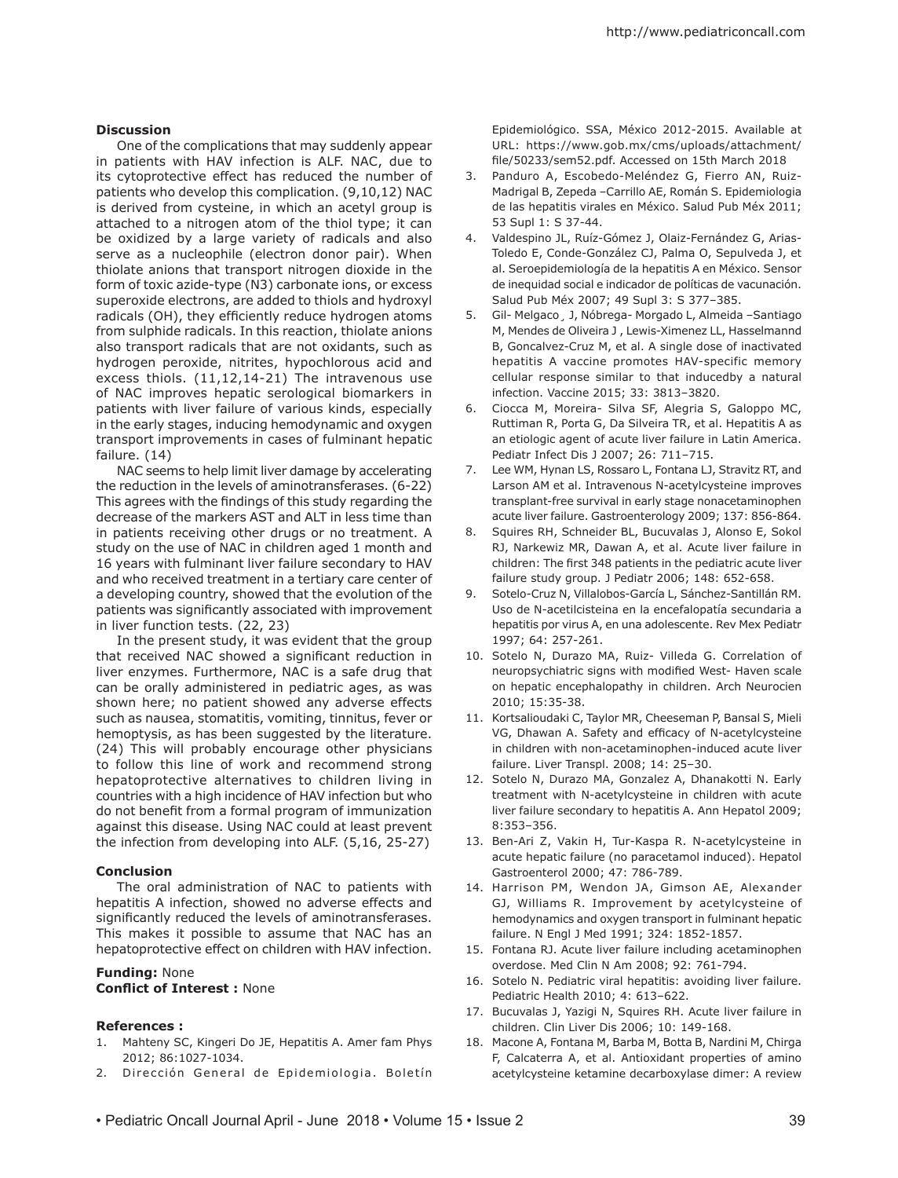### **Discussion**

One of the complications that may suddenly appear in patients with HAV infection is ALF. NAC, due to its cytoprotective effect has reduced the number of patients who develop this complication. (9,10,12) NAC is derived from cysteine, in which an acetyl group is attached to a nitrogen atom of the thiol type; it can be oxidized by a large variety of radicals and also serve as a nucleophile (electron donor pair). When thiolate anions that transport nitrogen dioxide in the form of toxic azide-type (N3) carbonate ions, or excess superoxide electrons, are added to thiols and hydroxyl radicals (OH), they efficiently reduce hydrogen atoms from sulphide radicals. In this reaction, thiolate anions also transport radicals that are not oxidants, such as hydrogen peroxide, nitrites, hypochlorous acid and excess thiols. (11,12,14-21) The intravenous use of NAC improves hepatic serological biomarkers in patients with liver failure of various kinds, especially in the early stages, inducing hemodynamic and oxygen transport improvements in cases of fulminant hepatic failure. (14)

NAC seems to help limit liver damage by accelerating the reduction in the levels of aminotransferases. (6-22) This agrees with the findings of this study regarding the decrease of the markers AST and ALT in less time than in patients receiving other drugs or no treatment. A study on the use of NAC in children aged 1 month and 16 years with fulminant liver failure secondary to HAV and who received treatment in a tertiary care center of a developing country, showed that the evolution of the patients was significantly associated with improvement in liver function tests. (22, 23)

In the present study, it was evident that the group that received NAC showed a significant reduction in liver enzymes. Furthermore, NAC is a safe drug that can be orally administered in pediatric ages, as was shown here; no patient showed any adverse effects such as nausea, stomatitis, vomiting, tinnitus, fever or hemoptysis, as has been suggested by the literature. (24) This will probably encourage other physicians to follow this line of work and recommend strong hepatoprotective alternatives to children living in countries with a high incidence of HAV infection but who do not benefit from a formal program of immunization against this disease. Using NAC could at least prevent the infection from developing into ALF. (5,16, 25-27)

#### **Conclusion**

The oral administration of NAC to patients with hepatitis A infection, showed no adverse effects and significantly reduced the levels of aminotransferases. This makes it possible to assume that NAC has an hepatoprotective effect on children with HAV infection.

## **Funding:** None **Conflict of Interest :** None

#### **References :**

- 1. Mahteny SC, Kingeri Do JE, Hepatitis A. Amer fam Phys 2012; 86:1027-1034.
- 2. Dirección General de Epidemiologia. Boletín

Epidemiológico. SSA, México 2012-2015. Available at URL: https://www.gob.mx/cms/uploads/attachment/ file/50233/sem52.pdf. Accessed on 15th March 2018

- 3. Panduro A, Escobedo-Meléndez G, Fierro AN, Ruiz-Madrigal B, Zepeda –Carrillo AE, Román S. Epidemiologia de las hepatitis virales en México. Salud Pub Méx 2011; 53 Supl 1: S 37-44.
- 4. Valdespino JL, Ruíz-Gómez J, Olaiz-Fernández G, Arias-Toledo E, Conde-González CJ, Palma O, Sepulveda J, et al. Seroepidemiología de la hepatitis A en México. Sensor de inequidad social e indicador de políticas de vacunación. Salud Pub Méx 2007; 49 Supl 3: S 377–385.
- 5. Gil- Melgaco¸ J, Nóbrega- Morgado L, Almeida –Santiago M, Mendes de Oliveira J , Lewis-Ximenez LL, Hasselmannd B, Goncalvez-Cruz M, et al. A single dose of inactivated hepatitis A vaccine promotes HAV-specific memory cellular response similar to that inducedby a natural infection. Vaccine 2015; 33: 3813–3820.
- 6. Ciocca M, Moreira- Silva SF, Alegria S, Galoppo MC, Ruttiman R, Porta G, Da Silveira TR, et al. Hepatitis A as an etiologic agent of acute liver failure in Latin America. Pediatr Infect Dis J 2007; 26: 711–715.
- 7. Lee WM, Hynan LS, Rossaro L, Fontana LJ, Stravitz RT, and Larson AM et al. Intravenous N-acetylcysteine improves transplant-free survival in early stage nonacetaminophen acute liver failure. Gastroenterology 2009; 137: 856-864.
- 8. Squires RH, Schneider BL, Bucuvalas J, Alonso E, Sokol RJ, Narkewiz MR, Dawan A, et al. Acute liver failure in children: The first 348 patients in the pediatric acute liver failure study group. J Pediatr 2006; 148: 652-658.
- 9. Sotelo-Cruz N, Villalobos-García L, Sánchez-Santillán RM. Uso de N-acetilcisteina en la encefalopatía secundaria a hepatitis por virus A, en una adolescente. Rev Mex Pediatr 1997; 64: 257-261.
- 10. Sotelo N, Durazo MA, Ruiz- Villeda G. Correlation of neuropsychiatric signs with modified West- Haven scale on hepatic encephalopathy in children. Arch Neurocien 2010; 15:35-38.
- 11. Kortsalioudaki C, Taylor MR, Cheeseman P, Bansal S, Mieli VG, Dhawan A. Safety and efficacy of N-acetylcysteine in children with non-acetaminophen-induced acute liver failure. Liver Transpl. 2008; 14: 25–30.
- 12. Sotelo N, Durazo MA, Gonzalez A, Dhanakotti N. Early treatment with N-acetylcysteine in children with acute liver failure secondary to hepatitis A. Ann Hepatol 2009; 8:353–356.
- 13. Ben-Ari Z, Vakin H, Tur-Kaspa R. N-acetylcysteine in acute hepatic failure (no paracetamol induced). Hepatol Gastroenterol 2000; 47: 786-789.
- 14. Harrison PM, Wendon JA, Gimson AE, Alexander GJ, Williams R. Improvement by acetylcysteine of hemodynamics and oxygen transport in fulminant hepatic failure. N Engl J Med 1991; 324: 1852-1857.
- 15. Fontana RJ. Acute liver failure including acetaminophen overdose. Med Clin N Am 2008; 92: 761-794.
- 16. Sotelo N. Pediatric viral hepatitis: avoiding liver failure. Pediatric Health 2010; 4: 613–622.
- 17. Bucuvalas J, Yazigi N, Squires RH. Acute liver failure in children. Clin Liver Dis 2006; 10: 149-168.
- 18. Macone A, Fontana M, Barba M, Botta B, Nardini M, Chirga F, Calcaterra A, et al. Antioxidant properties of amino acetylcysteine ketamine decarboxylase dimer: A review